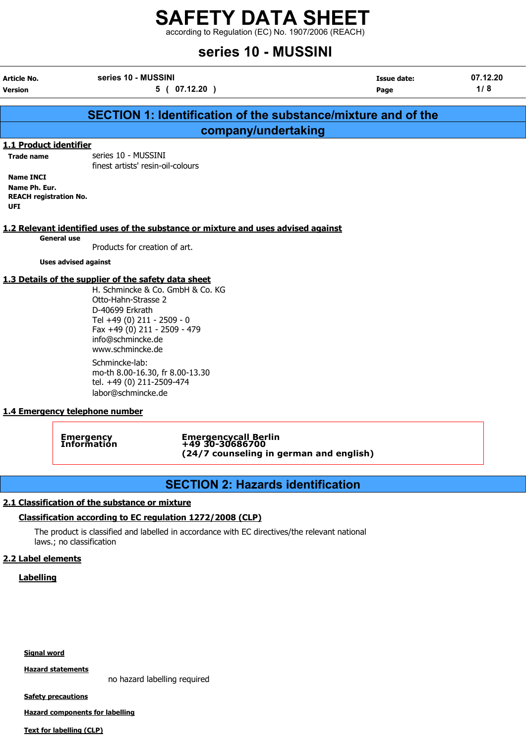according to Regulation (EC) No. 1907/2006 (REACH)

# series 10 - MUSSINI

Article No. series 10 - MUSSINI Issue date: 07.12.20 Version **1/8** ( 07.12.20 ) Page 1/ 8 SECTION 1: Identification of the substance/mixture and of the company/undertaking 1.1 Product identifier Trade name series 10 - MUSSINI finest artists' resin-oil-colours General use Products for creation of art. Uses advised against H. Schmincke & Co. GmbH & Co. KG Otto-Hahn-Strasse 2 D-40699 Erkrath Tel +49 (0) 211 - 2509 - 0

# Name INCI Name Ph. Eur. REACH registration No. UFI 1.2 Relevant identified uses of the substance or mixture and uses advised against 1.3 Details of the supplier of the safety data sheet

Fax +49 (0) 211 - 2509 - 479 info@schmincke.de www.schmincke.de Schmincke-lab:

mo-th 8.00-16.30, fr 8.00-13.30 tel. +49 (0) 211-2509-474 labor@schmincke.de

#### 1.4 Emergency telephone number

Emergency Emergencycall Berlin Information +49 30-30686700 (24/7 counseling in german and english)

# SECTION 2: Hazards identification

#### 2.1 Classification of the substance or mixture

## Classification according to EC regulation 1272/2008 (CLP)

The product is classified and labelled in accordance with EC directives/the relevant national laws.; no classification

## 2.2 Label elements

## **Labelling**

Signal word

Hazard statements

no hazard labelling required

**Safety precautions** 

Hazard components for labelling

Text for labelling (CLP)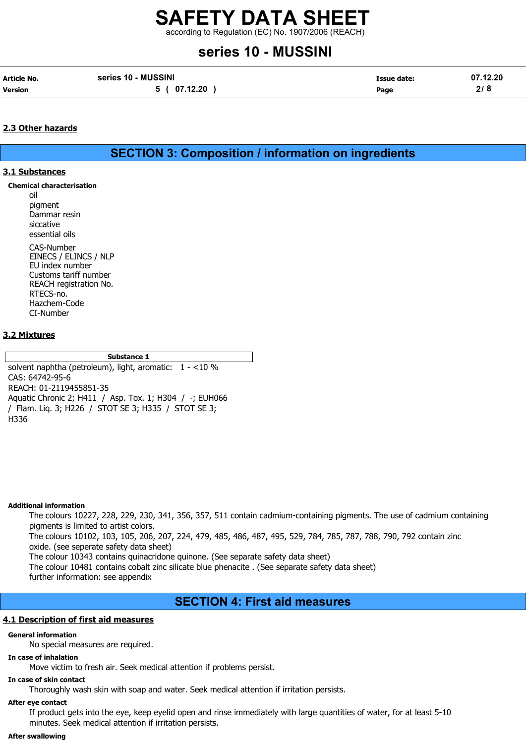according to Regulation (EC) No. 1907/2006 (REACH)

# series 10 - MUSSINI

| <b>Article No.</b> | series 10 - MUSSINI | Issue date: | 07.12.20 |
|--------------------|---------------------|-------------|----------|
| <b>Version</b>     | 5 ( 07.12.20        | Page        | 2/8      |

#### 2.3 Other hazards

SECTION 3: Composition / information on ingredients

#### 3.1 Substances

Chemical characterisation

oil pigment Dammar resin siccative

essential oils CAS-Number EINECS / ELINCS / NLP EU index number Customs tariff number REACH registration No. RTECS-no. Hazchem-Code CI-Number

#### 3.2 Mixtures

Substance 1

solvent naphtha (petroleum), light, aromatic: 1 - <10 % CAS: 64742-95-6 REACH: 01-2119455851-35 Aquatic Chronic 2; H411 / Asp. Tox. 1; H304 / -; EUH066 / Flam. Liq. 3; H226 / STOT SE 3; H335 / STOT SE 3; H336

#### Additional information

The colours 10227, 228, 229, 230, 341, 356, 357, 511 contain cadmium-containing pigments. The use of cadmium containing pigments is limited to artist colors.

The colours 10102, 103, 105, 206, 207, 224, 479, 485, 486, 487, 495, 529, 784, 785, 787, 788, 790, 792 contain zinc oxide. (see seperate safety data sheet)

The colour 10343 contains quinacridone quinone. (See separate safety data sheet)

The colour 10481 contains cobalt zinc silicate blue phenacite . (See separate safety data sheet) further information: see appendix

## SECTION 4: First aid measures

#### 4.1 Description of first aid measures

#### General information

No special measures are required.

#### In case of inhalation

Move victim to fresh air. Seek medical attention if problems persist.

## In case of skin contact

Thoroughly wash skin with soap and water. Seek medical attention if irritation persists.

#### After eye contact

If product gets into the eye, keep eyelid open and rinse immediately with large quantities of water, for at least 5-10 minutes. Seek medical attention if irritation persists.

#### After swallowing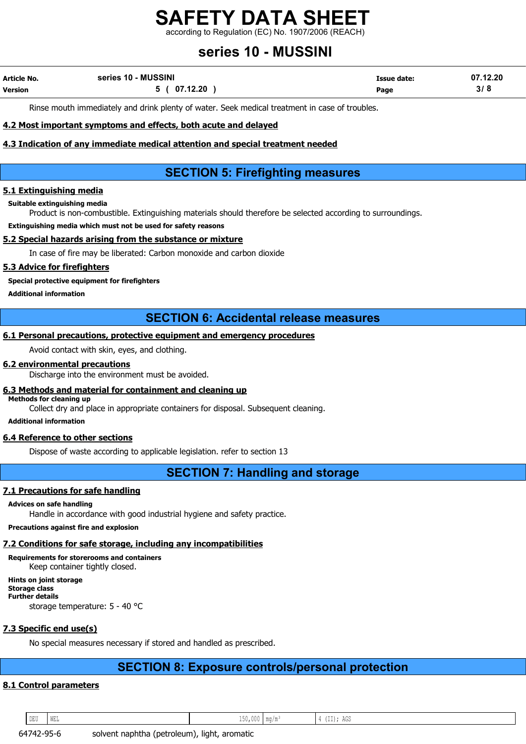according to Regulation (EC) No. 1907/2006 (REACH)

# series 10 - MUSSINI

| Article No.    | series 10 - MUSSINI | Issue date: | 07.12.20 |
|----------------|---------------------|-------------|----------|
| <b>Version</b> | 5 ( 07.12.20        | Page        | 3/8      |

Rinse mouth immediately and drink plenty of water. Seek medical treatment in case of troubles.

#### 4.2 Most important symptoms and effects, both acute and delayed

#### 4.3 Indication of any immediate medical attention and special treatment needed

# SECTION 5: Firefighting measures

#### 5.1 Extinguishing media

Suitable extinguishing media

Product is non-combustible. Extinguishing materials should therefore be selected according to surroundings.

Extinguishing media which must not be used for safety reasons

#### 5.2 Special hazards arising from the substance or mixture

In case of fire may be liberated: Carbon monoxide and carbon dioxide

#### 5.3 Advice for firefighters

Special protective equipment for firefighters

Additional information

## SECTION 6: Accidental release measures

#### 6.1 Personal precautions, protective equipment and emergency procedures

Avoid contact with skin, eyes, and clothing.

#### 6.2 environmental precautions

Discharge into the environment must be avoided.

#### 6.3 Methods and material for containment and cleaning up

Methods for cleaning up

Collect dry and place in appropriate containers for disposal. Subsequent cleaning.

Additional information

#### 6.4 Reference to other sections

Dispose of waste according to applicable legislation. refer to section 13

## SECTION 7: Handling and storage

#### 7.1 Precautions for safe handling

#### Advices on safe handling

Handle in accordance with good industrial hygiene and safety practice.

#### Precautions against fire and explosion

### 7.2 Conditions for safe storage, including any incompatibilities

Requirements for storerooms and containers Keep container tightly closed.

Hints on joint storage Storage class Further details

storage temperature: 5 - 40 °C

## 7.3 Specific end use(s)

No special measures necessary if stored and handled as prescribed.

# SECTION 8: Exposure controls/personal protection

### 8.1 Control parameters

DEU WEL 150,000 mg/m³ 4 (II); AGS

64742-95-6 solvent naphtha (petroleum), light, aromatic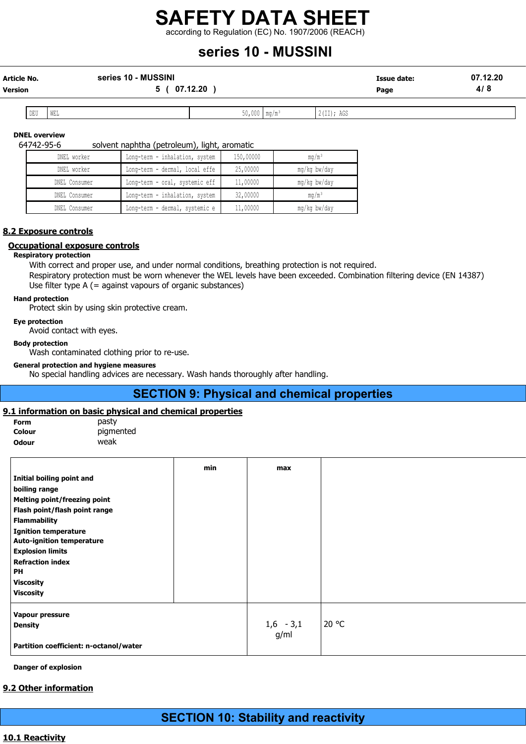according to Regulation (EC) No. 1907/2006 (REACH)

# series 10 - MUSSINI

| <b>Article No.</b> | series 10 - MUSSINI | Issue date: | 07.12.20 |
|--------------------|---------------------|-------------|----------|
| <b>Version</b>     | 07.12.20            | Page        | 4/8      |

| DEU | VV LLI | ------ | . | $\sim$<br>$\sim$<br>, nuu<br>. |
|-----|--------|--------|---|--------------------------------|

#### DNEL overview

64742-95-6 solvent naphtha (petroleum), light, aromatic

| DNEL worker   | Long-term - inhalation, system | 150,00000 | $mq/m^3$        |
|---------------|--------------------------------|-----------|-----------------|
| DNEL worker   | Long-term - dermal, local effe | 25,00000  | mg/kg bw/day    |
| DNEL Consumer | Long-term - oral, systemic eff | 11,00000  | mg/kg bw/day    |
| DNEL Consumer | Long-term - inhalation, system | 32,00000  | $\text{ma/m}^3$ |
| DNEL Consumer | Long-term - dermal, systemic e | 11,00000  | mg/kg bw/day    |

#### 8.2 Exposure controls

#### Occupational exposure controls

#### Respiratory protection

With correct and proper use, and under normal conditions, breathing protection is not required.

Respiratory protection must be worn whenever the WEL levels have been exceeded. Combination filtering device (EN 14387) Use filter type A (= against vapours of organic substances)

#### Hand protection

Protect skin by using skin protective cream.

#### Eye protection

Avoid contact with eyes.

#### Body protection

Wash contaminated clothing prior to re-use.

#### General protection and hygiene measures

No special handling advices are necessary. Wash hands thoroughly after handling.

## SECTION 9: Physical and chemical properties

#### 9.1 information on basic physical and chemical properties

| <b>Form</b>  | pasty     |
|--------------|-----------|
| Colour       | pigmented |
| <b>Odour</b> | weak      |

|                                        | min | max         |       |
|----------------------------------------|-----|-------------|-------|
| Initial boiling point and              |     |             |       |
| boiling range                          |     |             |       |
| <b>Melting point/freezing point</b>    |     |             |       |
| Flash point/flash point range          |     |             |       |
| <b>Flammability</b>                    |     |             |       |
| <b>Ignition temperature</b>            |     |             |       |
| <b>Auto-ignition temperature</b>       |     |             |       |
| <b>Explosion limits</b>                |     |             |       |
| <b>Refraction index</b>                |     |             |       |
| PH                                     |     |             |       |
| <b>Viscosity</b>                       |     |             |       |
| <b>Viscosity</b>                       |     |             |       |
| Vapour pressure                        |     |             |       |
| <b>Density</b>                         |     | $1,6 - 3,1$ | 20 °C |
|                                        |     | g/ml        |       |
| Partition coefficient: n-octanol/water |     |             |       |

#### Danger of explosion

#### 9.2 Other information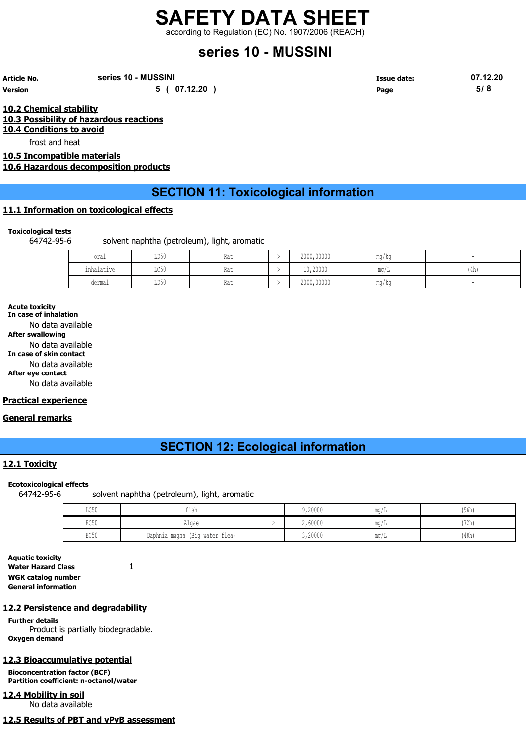according to Regulation (EC) No. 1907/2006 (REACH)

# series 10 - MUSSINI

| Article No. | series 10 - MUSSINI | Issue date: | 07.12.20 |
|-------------|---------------------|-------------|----------|
| Version     | 5(07.12.20)         | Page        | 5/8      |

10.2 Chemical stability 10.3 Possibility of hazardous reactions 10.4 Conditions to avoid

frost and heat

10.5 Incompatible materials

10.6 Hazardous decomposition products

# SECTION 11: Toxicological information

#### 11.1 Information on toxicological effects

#### Toxicological tests

64742-95-6 solvent naphtha (petroleum), light, aromatic

| oral       | LD50                    | Rat | 2000,00000 | ma/ka              |      |
|------------|-------------------------|-----|------------|--------------------|------|
| inhalative | $T \cap F \cap$<br>ມ⊳⊽ບ | Rat | 10,20000   | . .<br>$m\alpha/L$ | (4h) |
| dermal     | LD50                    | Rat | 2000,00000 | ma/ka              |      |

#### Acute toxicity

In case of inhalation No data available After swallowing No data available In case of skin contact No data available After eye contact No data available

#### Practical experience

#### General remarks

## SECTION 12: Ecological information

#### 12.1 Toxicity

#### Ecotoxicological effects

64742-95-6 solvent naphtha (petroleum), light, aromatic

| $T \cap F \cap$<br>カムクハ | fish                           | ,20000  | mq/L        | (96h) |
|-------------------------|--------------------------------|---------|-------------|-------|
| EC50                    | Algae                          | 2,60000 | mq/L        | 72h)  |
| EC50                    | Daphnia magna (Big water flea) | 3,20000 | $m\alpha/L$ | (48h) |

Aquatic toxicity Water Hazard Class 1 WGK catalog number General information

#### 12.2 Persistence and degradability

Further details Product is partially biodegradable. Oxygen demand

#### 12.3 Bioaccumulative potential

Bioconcentration factor (BCF) Partition coefficient: n-octanol/water

12.4 Mobility in soil No data available

12.5 Results of PBT and vPvB assessment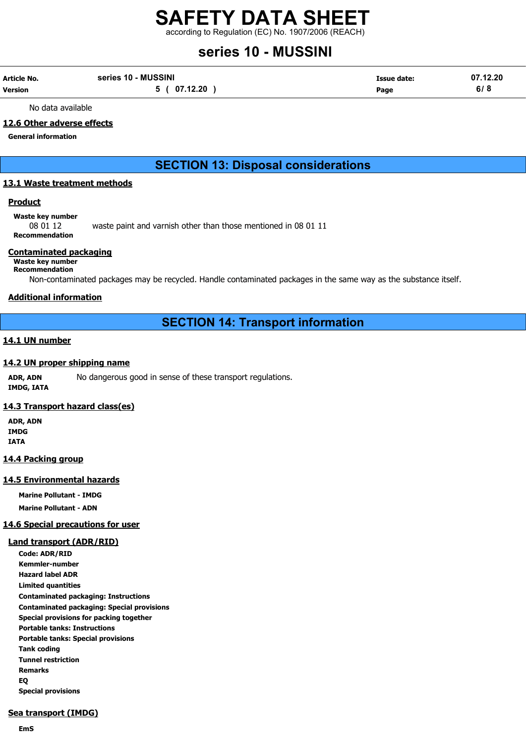according to Regulation (EC) No. 1907/2006 (REACH)

# series 10 - MUSSINI

| Article No. | series 10 - MUSSINI | <b>Issue date:</b> | 07.12.20 |
|-------------|---------------------|--------------------|----------|
| Version     | 5 ( 07.12.20        | Page               | 6/8      |

No data available

#### 12.6 Other adverse effects

General information

## SECTION 13: Disposal considerations

#### 13.1 Waste treatment methods

#### **Product**

Waste key number

08 01 12 waste paint and varnish other than those mentioned in 08 01 11 Recommendation

#### Contaminated packaging

### Waste key number

Recommendation

Non-contaminated packages may be recycled. Handle contaminated packages in the same way as the substance itself.

#### Additional information

### SECTION 14: Transport information

#### 14.1 UN number

#### 14.2 UN proper shipping name

ADR, ADN No dangerous good in sense of these transport regulations. IMDG, IATA

#### 14.3 Transport hazard class(es)

ADR, ADN IMDG IATA

#### 14.4 Packing group

#### 14.5 Environmental hazards

Marine Pollutant - IMDG Marine Pollutant - ADN

# 14.6 Special precautions for user

#### Land transport (ADR/RID)

Code: ADR/RID Kemmler-number Hazard label ADR Limited quantities Contaminated packaging: Instructions Contaminated packaging: Special provisions Special provisions for packing together Portable tanks: Instructions Portable tanks: Special provisions Tank coding Tunnel restriction Remarks EQ Special provisions

#### Sea transport (IMDG)

EmS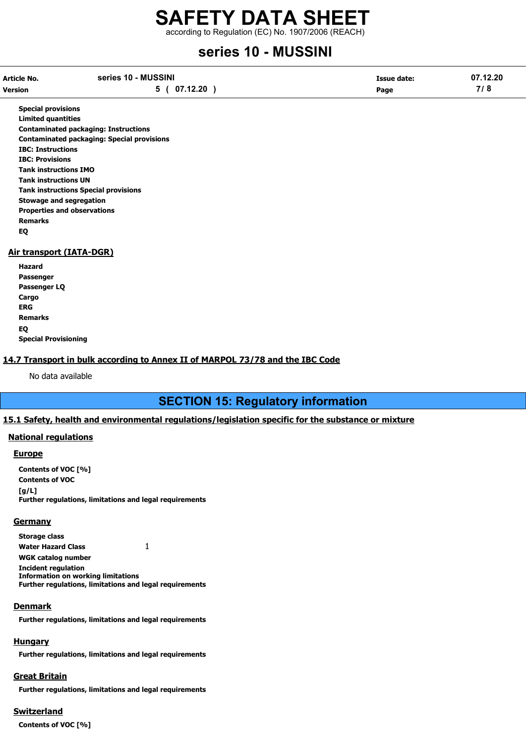according to Regulation (EC) No. 1907/2006 (REACH)

# series 10 - MUSSINI

| Article No.    | series 10 - MUSSINI | Issue date: | 07.12.20 |
|----------------|---------------------|-------------|----------|
| <b>Version</b> | 5 ( 07.12.20        | Page        | 7/8      |

Special provisions Limited quantities Contaminated packaging: Instructions Contaminated packaging: Special provisions IBC: Instructions IBC: Provisions Tank instructions IMO Tank instructions UN Tank instructions Special provisions Stowage and segregation Properties and observations Remarks EQ

#### Air transport (IATA-DGR)

| Hazard                      |
|-----------------------------|
| Passenger                   |
| Passenger LQ                |
| Cargo                       |
| ERG                         |
| Remarks                     |
| EQ                          |
| <b>Special Provisioning</b> |

#### 14.7 Transport in bulk according to Annex II of MARPOL 73/78 and the IBC Code

No data available

## SECTION 15: Regulatory information

#### 15.1 Safety, health and environmental regulations/legislation specific for the substance or mixture

#### National regulations

#### Europe

Contents of VOC [%] Contents of VOC  $[a/L]$ Further regulations, limitations and legal requirements

#### **Germany**

Storage class Water Hazard Class 1 WGK catalog number Incident regulation Information on working limitations Further regulations, limitations and legal requirements

#### Denmark

Further regulations, limitations and legal requirements

#### **Hungary**

Further regulations, limitations and legal requirements

#### Great Britain

Further regulations, limitations and legal requirements

### Switzerland

Contents of VOC [%]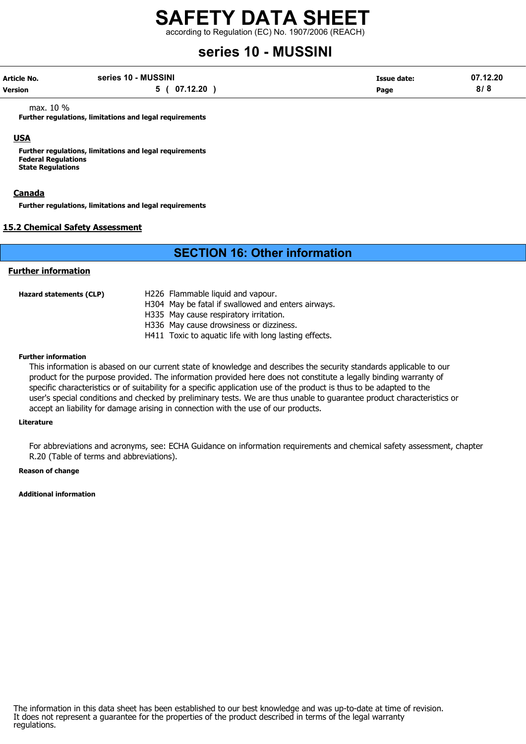according to Regulation (EC) No. 1907/2006 (REACH)

# series 10 - MUSSINI

| Article No. | series 10 - MUSSINI | Issue date: | 07.12.20 |
|-------------|---------------------|-------------|----------|
| Version     | 5 ( 07.12.20        | Page        | 8/8      |

max. 10 %

Further regulations, limitations and legal requirements

#### USA

Further regulations, limitations and legal requirements Federal Regulations State Regulations

#### Canada

Further regulations, limitations and legal requirements

#### 15.2 Chemical Safety Assessment

## SECTION 16: Other information

#### Further information

| Hazard statements (CLP) | H226 Flammable liquid and vapour.<br>H304 May be fatal if swallowed and enters airways. |
|-------------------------|-----------------------------------------------------------------------------------------|
|                         | H335 May cause respiratory irritation.                                                  |
|                         | H336 May cause drowsiness or dizziness.                                                 |
|                         | H411 Toxic to aquatic life with long lasting effects.                                   |

#### Further information

This information is abased on our current state of knowledge and describes the security standards applicable to our product for the purpose provided. The information provided here does not constitute a legally binding warranty of specific characteristics or of suitability for a specific application use of the product is thus to be adapted to the user's special conditions and checked by preliminary tests. We are thus unable to guarantee product characteristics or accept an liability for damage arising in connection with the use of our products.

#### Literature

For abbreviations and acronyms, see: ECHA Guidance on information requirements and chemical safety assessment, chapter R.20 (Table of terms and abbreviations).

#### Reason of change

Additional information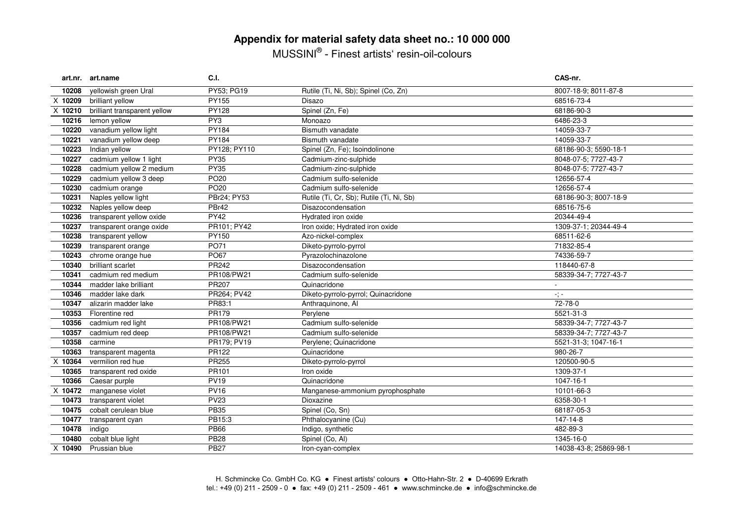# **Appendix for material safety data sheet no.: 10 000 000**

MUSSINI® - Finest artists' resin-oil-colours

|         | art.nr. art.name             | C.I.             |                                          | CAS-nr.                    |
|---------|------------------------------|------------------|------------------------------------------|----------------------------|
| 10208   | yellowish green Ural         | PY53; PG19       | Rutile (Ti, Ni, Sb); Spinel (Co, Zn)     | 8007-18-9; 8011-87-8       |
| X 10209 | brilliant yellow             | PY155            | Disazo                                   | 68516-73-4                 |
| X 10210 | brilliant transparent yellow | PY128            | Spinel (Zn, Fe)                          | 68186-90-3                 |
| 10216   | lemon yellow                 | PY3              | Monoazo                                  | 6486-23-3                  |
| 10220   | vanadium yellow light        | PY184            | Bismuth vanadate                         | 14059-33-7                 |
| 10221   | vanadium yellow deep         | PY184            | <b>Bismuth vanadate</b>                  | 14059-33-7                 |
| 10223   | Indian yellow                | PY128; PY110     | Spinel (Zn, Fe); Isoindolinone           | 68186-90-3; 5590-18-1      |
| 10227   | cadmium yellow 1 light       | <b>PY35</b>      | Cadmium-zinc-sulphide                    | 8048-07-5; 7727-43-7       |
| 10228   | cadmium yellow 2 medium      | <b>PY35</b>      | Cadmium-zinc-sulphide                    | 8048-07-5; 7727-43-7       |
| 10229   | cadmium yellow 3 deep        | <b>PO20</b>      | Cadmium sulfo-selenide                   | 12656-57-4                 |
| 10230   | cadmium orange               | PO <sub>20</sub> | Cadmium sulfo-selenide                   | 12656-57-4                 |
| 10231   | Naples yellow light          | PBr24; PY53      | Rutile (Ti, Cr, Sb); Rutile (Ti, Ni, Sb) | 68186-90-3; 8007-18-9      |
| 10232   | Naples yellow deep           | PBr42            | Disazocondensation                       | 68516-75-6                 |
| 10236   | transparent yellow oxide     | <b>PY42</b>      | Hydrated iron oxide                      | 20344-49-4                 |
| 10237   | transparent orange oxide     | PR101: PY42      | Iron oxide; Hydrated iron oxide          | 1309-37-1; 20344-49-4      |
| 10238   | transparent yellow           | PY150            | Azo-nickel-complex                       | 68511-62-6                 |
| 10239   | transparent orange           | PO71             | Diketo-pyrrolo-pyrrol                    | 71832-85-4                 |
| 10243   | chrome orange hue            | PO67             | Pyrazolochinazolone                      | 74336-59-7                 |
| 10340   | brilliant scarlet            | PR242            | Disazocondensation                       | 118440-67-8                |
| 10341   | cadmium red medium           | PR108/PW21       | Cadmium sulfo-selenide                   | 58339-34-7; 7727-43-7      |
| 10344   | madder lake brilliant        | PR207            | Quinacridone                             |                            |
| 10346   | madder lake dark             | PR264: PV42      | Diketo-pyrrolo-pyrrol; Quinacridone      | $\sigma_{\rm s}^{\rm s}$ = |
| 10347   | alizarin madder lake         | PR83:1           | Anthraquinone, Al                        | 72-78-0                    |
| 10353   | Florentine red               | PR179            | Perylene                                 | 5521-31-3                  |
| 10356   | cadmium red light            | PR108/PW21       | Cadmium sulfo-selenide                   | 58339-34-7; 7727-43-7      |
| 10357   | cadmium red deep             | PR108/PW21       | Cadmium sulfo-selenide                   | 58339-34-7; 7727-43-7      |
| 10358   | carmine                      | PR179; PV19      | Perylene; Quinacridone                   | 5521-31-3; 1047-16-1       |
| 10363   | transparent magenta          | PR122            | Quinacridone                             | 980-26-7                   |
| X 10364 | vermilion red hue            | PR255            | Diketo-pyrrolo-pyrrol                    | 120500-90-5                |
| 10365   | transparent red oxide        | PR101            | Iron oxide                               | 1309-37-1                  |
| 10366   | Caesar purple                | <b>PV19</b>      | Quinacridone                             | 1047-16-1                  |
| X 10472 | manganese violet             | <b>PV16</b>      | Manganese-ammonium pyrophosphate         | 10101-66-3                 |
| 10473   | transparent violet           | <b>PV23</b>      | Dioxazine                                | 6358-30-1                  |
| 10475   | cobalt cerulean blue         | <b>PB35</b>      | Spinel (Co. Sn)                          | 68187-05-3                 |
| 10477   | transparent cyan             | PB15:3           | Phthalocyanine (Cu)                      | 147-14-8                   |
| 10478   | indigo                       | <b>PB66</b>      | Indigo, synthetic                        | 482-89-3                   |
| 10480   | cobalt blue light            | <b>PB28</b>      | Spinel (Co, Al)                          | 1345-16-0                  |
| X 10490 | Prussian blue                | <b>PB27</b>      | Iron-cyan-complex                        | 14038-43-8; 25869-98-1     |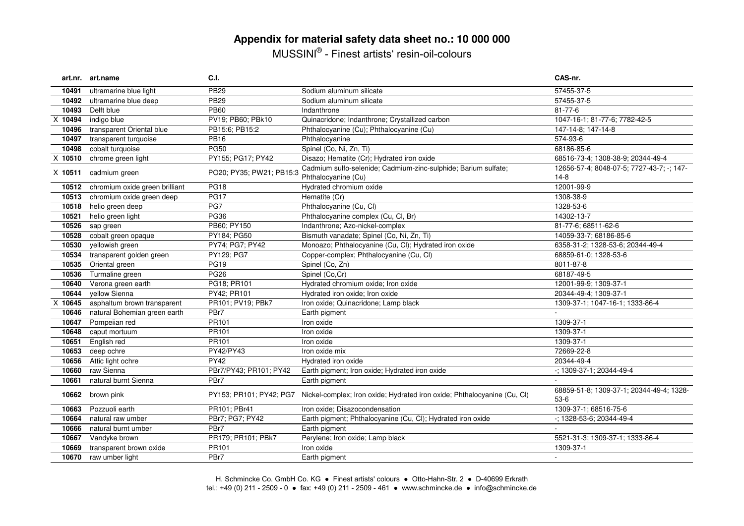# **Appendix for material safety data sheet no.: 10 000 000**

MUSSINI® - Finest artists' resin-oil-colours

|           | art.nr. art.name               | C.I.                     |                                                                                                  | CAS-nr.                                             |
|-----------|--------------------------------|--------------------------|--------------------------------------------------------------------------------------------------|-----------------------------------------------------|
| 10491     | ultramarine blue light         | <b>PB29</b>              | Sodium aluminum silicate                                                                         | 57455-37-5                                          |
| 10492     | ultramarine blue deep          | <b>PB29</b>              | Sodium aluminum silicate                                                                         | 57455-37-5                                          |
| 10493     | Delft blue                     | <b>PB60</b>              | Indanthrone                                                                                      | $81 - 77 - 6$                                       |
| X 10494   | indigo blue                    | PV19; PB60; PBk10        | Quinacridone; Indanthrone; Crystallized carbon                                                   | 1047-16-1; 81-77-6; 7782-42-5                       |
| 10496     | transparent Oriental blue      | PB15:6; PB15:2           | Phthalocyanine (Cu); Phthalocyanine (Cu)                                                         | 147-14-8; 147-14-8                                  |
| 10497     | transparent turquoise          | <b>PB16</b>              | Phthalocyanine                                                                                   | 574-93-6                                            |
| 10498     | cobalt turquoise               | <b>PG50</b>              | Spinel (Co, Ni, Zn, Ti)                                                                          | 68186-85-6                                          |
| X 10510   | chrome green light             | PY155; PG17; PY42        | Disazo; Hematite (Cr); Hydrated iron oxide                                                       | 68516-73-4; 1308-38-9; 20344-49-4                   |
| $X$ 10511 | cadmium green                  | PO20; PY35; PW21; PB15:3 | Cadmium sulfo-selenide; Cadmium-zinc-sulphide; Barium sulfate;<br>Phthalocyanine (Cu)            | 12656-57-4; 8048-07-5; 7727-43-7; -; 147-<br>$14-8$ |
| 10512     | chromium oxide green brilliant | <b>PG18</b>              | Hydrated chromium oxide                                                                          | 12001-99-9                                          |
| 10513     | chromium oxide green deep      | <b>PG17</b>              | Hematite (Cr)                                                                                    | 1308-38-9                                           |
| 10518     | helio green deep               | PG7                      | Phthalocyanine (Cu, Cl)                                                                          | 1328-53-6                                           |
| 10521     | helio green light              | <b>PG36</b>              | Phthalocyanine complex (Cu, Cl, Br)                                                              | 14302-13-7                                          |
| 10526     | sap green                      | PB60; PY150              | Indanthrone; Azo-nickel-complex                                                                  | 81-77-6; 68511-62-6                                 |
| 10528     | cobalt green opaque            | PY184; PG50              | Bismuth vanadate; Spinel (Co, Ni, Zn, Ti)                                                        | 14059-33-7; 68186-85-6                              |
| 10530     | yellowish green                | PY74; PG7; PY42          | Monoazo; Phthalocyanine (Cu, Cl); Hydrated iron oxide                                            | 6358-31-2; 1328-53-6; 20344-49-4                    |
| 10534     | transparent golden green       | PY129; PG7               | Copper-complex; Phthalocyanine (Cu, Cl)                                                          | 68859-61-0; 1328-53-6                               |
| 10535     | Oriental green                 | <b>PG19</b>              | Spinel (Co, Zn)                                                                                  | 8011-87-8                                           |
| 10536     | Turmaline green                | <b>PG26</b>              | Spinel (Co,Cr)                                                                                   | 68187-49-5                                          |
| 10640     | Verona green earth             | PG18; PR101              | Hydrated chromium oxide; Iron oxide                                                              | 12001-99-9; 1309-37-1                               |
| 10644     | vellow Sienna                  | PY42; PR101              | Hydrated iron oxide; Iron oxide                                                                  | 20344-49-4; 1309-37-1                               |
| X 10645   | asphaltum brown transparent    | PR101; PV19; PBk7        | Iron oxide; Quinacridone; Lamp black                                                             | 1309-37-1; 1047-16-1; 1333-86-4                     |
| 10646     | natural Bohemian green earth   | PBr7                     | Earth pigment                                                                                    |                                                     |
| 10647     | Pompeiian red                  | PR101                    | Iron oxide                                                                                       | 1309-37-1                                           |
| 10648     | caput mortuum                  | PR101                    | Iron oxide                                                                                       | 1309-37-1                                           |
| 10651     | English red                    | PR101                    | Iron oxide                                                                                       | 1309-37-1                                           |
| 10653     | deep ochre                     | PY42/PY43                | Iron oxide mix                                                                                   | 72669-22-8                                          |
| 10656     | Attic light ochre              | <b>PY42</b>              | Hydrated iron oxide                                                                              | 20344-49-4                                          |
| 10660     | raw Sienna                     | PBr7/PY43; PR101; PY42   | Earth pigment; Iron oxide; Hydrated iron oxide                                                   | -; 1309-37-1; 20344-49-4                            |
| 10661     | natural burnt Sienna           | PBr7                     | Earth pigment                                                                                    |                                                     |
| 10662     | brown pink                     |                          | PY153; PR101; PY42; PG7 Nickel-complex; Iron oxide; Hydrated iron oxide; Phthalocyanine (Cu, Cl) | 68859-51-8; 1309-37-1; 20344-49-4; 1328-<br>$53-6$  |
| 10663     | Pozzuoli earth                 | PR101; PBr41             | Iron oxide; Disazocondensation                                                                   | 1309-37-1; 68516-75-6                               |
| 10664     | natural raw umber              | PBr7; PG7; PY42          | Earth pigment; Phthalocyanine (Cu, Cl); Hydrated iron oxide                                      | $-$ : 1328-53-6: 20344-49-4                         |
| 10666     | natural burnt umber            | PBr7                     | Earth pigment                                                                                    |                                                     |
| 10667     | Vandyke brown                  | PR179; PR101; PBk7       | Perylene; Iron oxide; Lamp black                                                                 | 5521-31-3; 1309-37-1; 1333-86-4                     |
| 10669     | transparent brown oxide        | PR101                    | Iron oxide                                                                                       | 1309-37-1                                           |
| 10670     | raw umber light                | PBr7                     | Earth pigment                                                                                    | $\sim$                                              |